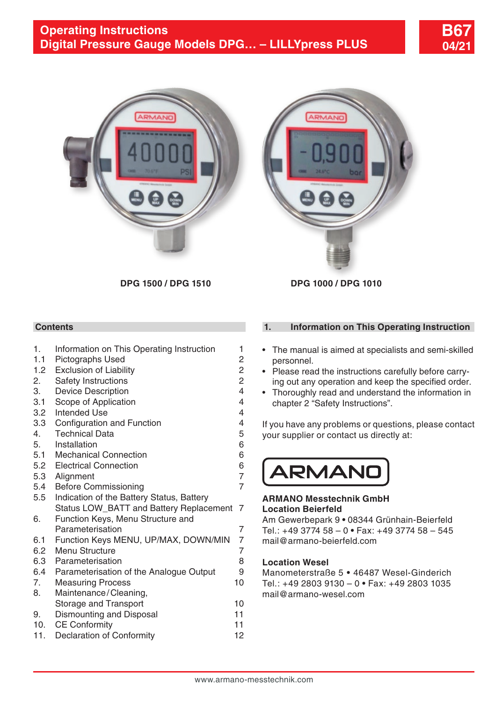



**DPG 1500 / DPG 1510 DPG 1000 / DPG 1010**

# **Contents**

| 1.        | Information on This Operating Instruction                           | 1              |
|-----------|---------------------------------------------------------------------|----------------|
| 1.1       | <b>Pictographs Used</b>                                             | $\overline{c}$ |
| 1.2       | <b>Exclusion of Liability</b>                                       | $\overline{c}$ |
| 2.        | Safety Instructions                                                 | $\overline{c}$ |
| 3.        | <b>Device Description</b>                                           | $\overline{4}$ |
| 3.1       | Scope of Application                                                | 4              |
| 3.2       | <b>Intended Use</b>                                                 | 4              |
| 3.3       | Configuration and Function                                          | 4              |
| 4.        | <b>Technical Data</b>                                               | 5              |
| 5.        | Installation                                                        | 6              |
| 5.1       | <b>Mechanical Connection</b>                                        | 6              |
| 5.2       | <b>Electrical Connection</b>                                        | 6              |
| 5.3       | Alignment                                                           | 7              |
| 5.4       | <b>Before Commissioning</b>                                         | 7              |
| 5.5       | Indication of the Battery Status, Battery                           |                |
|           | Status LOW BATT and Battery Replacement                             | 7              |
| 6.        | Function Keys, Menu Structure and                                   |                |
|           | Parameterisation                                                    | 7              |
| 6.1       | Function Keys MENU, UP/MAX, DOWN/MIN                                | 7<br>7         |
| 6.2       | Menu Structure<br>Parameterisation                                  | 8              |
| 6.3       |                                                                     | 9              |
| 6.4<br>7. | Parameterisation of the Analogue Output<br><b>Measuring Process</b> | 10             |
| 8.        | Maintenance/Cleaning,                                               |                |
|           | Storage and Transport                                               | 10             |
| 9.        | Dismounting and Disposal                                            | 11             |
| 10.       | <b>CE Conformity</b>                                                | 11             |
| 11.       | Declaration of Conformity                                           | 12             |
|           |                                                                     |                |
|           |                                                                     |                |

## **1. Information on This Operating Instruction**

- The manual is aimed at specialists and semi-skilled personnel.
- Please read the instructions carefully before carrying out any operation and keep the specified order.
- Thoroughly read and understand the information in chapter 2 "Safety Instructions".

If you have any problems or questions, please contact your supplier or contact us directly at:



### **ARMANO Messtechnik GmbH Location Beierfeld**

Am Gewerbepark 9 **•** 08344 Grünhain-Beierfeld Tel.: +49 3774 58 – 0 **•** Fax: +49 3774 58 – 545 mail@armano-beierfeld.com

### **Location Wesel**

Manometerstraße 5 **•** 46487 Wesel-Ginderich Tel.: +49 2803 9130 – 0 **•** Fax: +49 2803 1035 mail@armano-wesel.com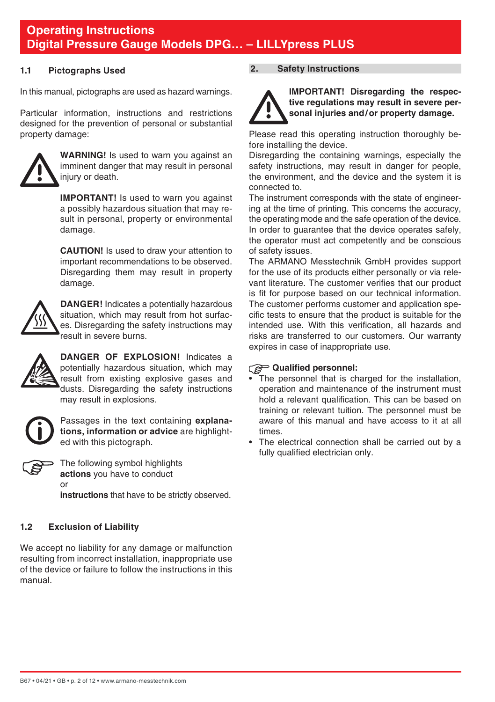### <span id="page-1-0"></span>**1.1 Pictographs Used**

In this manual, pictographs are used as hazard warnings.

Particular information, instructions and restrictions designed for the prevention of personal or substantial property damage:



**WARNING!** Is used to warn you against an imminent danger that may result in personal injury or death.

**IMPORTANT!** Is used to warn you against a possibly hazardous situation that may result in personal, property or environmental damage.

 **CAUTION!** Is used to draw your attention to important recommendations to be observed. Disregarding them may result in property damage.



**DANGER!** Indicates a potentially hazardous situation, which may result from hot surfaces. Disregarding the safety instructions may result in severe burns.



**DANGER OF EXPLOSION!** Indicates a potentially hazardous situation, which may result from existing explosive gases and dusts. Disregarding the safety instructions may result in explosions.



Passages in the text containing **explanations, information or advice** are highlighted with this pictograph.



The following symbol highlights **actions** you have to conduct or

**instructions** that have to be strictly observed.

# **1.2 Exclusion of Liability**

We accept no liability for any damage or malfunction resulting from incorrect installation, inappropriate use of the device or failure to follow the instructions in this manual.

## **2. Safety Instructions**



**IMPORTANT! Disregarding the respective regulations may result in severe personal injuries and/or property damage.**

Please read this operating instruction thoroughly before installing the device.

Disregarding the containing warnings, especially the safety instructions, may result in danger for people. the environment, and the device and the system it is connected to.

The instrument corresponds with the state of engineering at the time of printing. This concerns the accuracy, the operating mode and the safe operation of the device. In order to guarantee that the device operates safely, the operator must act competently and be conscious of safety issues.

The ARMANO Messtechnik GmbH provides support for the use of its products either personally or via relevant literature. The customer verifies that our product is fit for purpose based on our technical information. The customer performs customer and application specific tests to ensure that the product is suitable for the intended use. With this verification, all hazards and risks are transferred to our customers. Our warranty expires in case of inappropriate use.

# **Qualified personnel:**

- The personnel that is charged for the installation. operation and maintenance of the instrument must hold a relevant qualification. This can be based on training or relevant tuition. The personnel must be aware of this manual and have access to it at all times.
- The electrical connection shall be carried out by a fully qualified electrician only.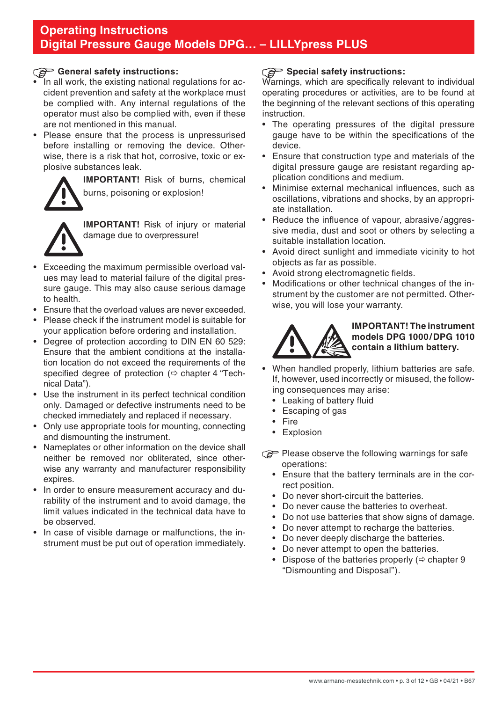# General safety instructions:

- In all work, the existing national regulations for accident prevention and safety at the workplace must be complied with. Any internal regulations of the operator must also be complied with, even if these are not mentioned in this manual.
- Please ensure that the process is unpressurised before installing or removing the device. Otherwise, there is a risk that hot, corrosive, toxic or explosive substances leak.

**IMPORTANT!** Risk of burns, chemical burns, poisoning or explosion!

**IMPORTANT!** Risk of injury or material damage due to overpressure!

- Exceeding the maximum permissible overload values may lead to material failure of the digital pressure gauge. This may also cause serious damage to health.
- Ensure that the overload values are never exceeded.
- Please check if the instrument model is suitable for your application before ordering and installation.
- Degree of protection according to DIN EN 60 529: Ensure that the ambient conditions at the installation location do not exceed the requirements of the specified degree of protection  $(\Rightarrow$  chapter 4 "Technical Data").
- Use the instrument in its perfect technical condition only. Damaged or defective instruments need to be checked immediately and replaced if necessary.
- Only use appropriate tools for mounting, connecting and dismounting the instrument.
- Nameplates or other information on the device shall neither be removed nor obliterated, since otherwise any warranty and manufacturer responsibility expires.
- In order to ensure measurement accuracy and durability of the instrument and to avoid damage, the limit values indicated in the technical data have to be observed.
- In case of visible damage or malfunctions, the instrument must be put out of operation immediately.

## **Special safety instructions:**

Warnings, which are specifically relevant to individual operating procedures or activities, are to be found at the beginning of the relevant sections of this operating instruction.

- The operating pressures of the digital pressure gauge have to be within the specifications of the device.
- Ensure that construction type and materials of the digital pressure gauge are resistant regarding application conditions and medium.
- Minimise external mechanical influences, such as oscillations, vibrations and shocks, by an appropriate installation.
- Reduce the influence of vapour, abrasive/aggressive media, dust and soot or others by selecting a suitable installation location.
- Avoid direct sunlight and immediate vicinity to hot objects as far as possible.
- Avoid strong electromagnetic fields.
- Modifications or other technical changes of the instrument by the customer are not permitted. Otherwise, you will lose your warranty.



## **IMPORTANT! The instrument models DPG 1000/DPG 1010 contain a lithium battery.**

- When handled properly, lithium batteries are safe. If, however, used incorrectly or misused, the following consequences may arise:
	- Leaking of battery fluid
	- Escaping of gas
	- **Fire**
	- Explosion
- Please observe the following warnings for safe operations:
	- Ensure that the battery terminals are in the correct position.
	- Do never short-circuit the batteries.
	- Do never cause the batteries to overheat.
	- Do not use batteries that show signs of damage.
	- Do never attempt to recharge the batteries.
	- Do never deeply discharge the batteries.
	- Do never attempt to open the batteries.
	- Dispose of the batteries properly  $(\Rightarrow$  chapter 9 "Dismounting and Disposal").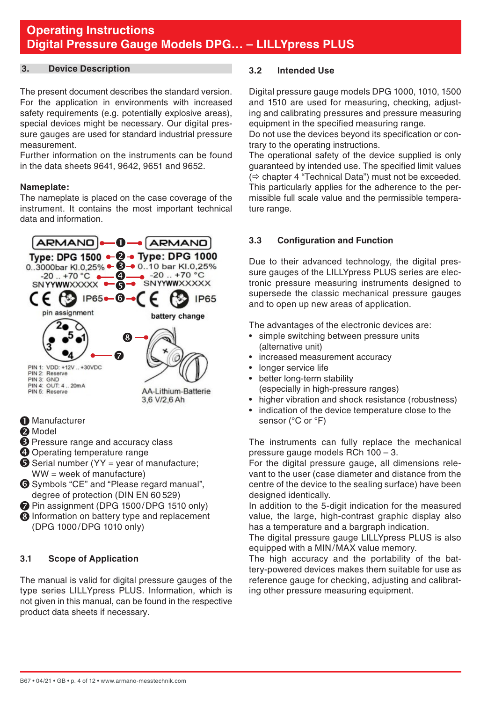### <span id="page-3-0"></span>**3. Device Description**

The present document describes the standard version. For the application in environments with increased safety requirements (e.g. potentially explosive areas). special devices might be necessary. Our digital pressure gauges are used for standard industrial pressure measurement.

Further information on the instruments can be found in the data sheets 9641, 9642, 9651 and 9652.

### **Nameplate:**

The nameplate is placed on the case coverage of the instrument. It contains the most important technical data and information.



- 
- **2** Model
- $\Theta$  Pressure range and accuracy class
- **O** Operating temperature range
- $\bullet$  Serial number (YY = year of manufacture; WW = week of manufacture)
- Symbols "CE" and "Please regard manual", degree of protection (DIN EN 60 529)
- Pin assignment (DPG 1500/DPG 1510 only)
- **B** Information on battery type and replacement (DPG 1000/DPG 1010 only)

# **3.1 Scope of Application**

The manual is valid for digital pressure gauges of the type series LILLYpress PLUS. Information, which is not given in this manual, can be found in the respective product data sheets if necessary.

## **3.2 Intended Use**

Digital pressure gauge models DPG 1000, 1010, 1500 and 1510 are used for measuring, checking, adjusting and calibrating pressures and pressure measuring equipment in the specified measuring range.

Do not use the devices beyond its specification or contrary to the operating instructions.

The operational safety of the device supplied is only guaranteed by intended use. The specified limit values  $\Rightarrow$  chapter 4 "Technical Data") must not be exceeded. This particularly applies for the adherence to the permissible full scale value and the permissible temperature range.

# **3.3 Configuration and Function**

Due to their advanced technology, the digital pressure gauges of the LILLYpress PLUS series are electronic pressure measuring instruments designed to supersede the classic mechanical pressure gauges and to open up new areas of application.

The advantages of the electronic devices are:

- simple switching between pressure units (alternative unit)
- increased measurement accuracy
- longer service life
- better long-term stability (especially in high-pressure ranges)
- higher vibration and shock resistance (robustness)
- indication of the device temperature close to the sensor (°C or °F)

The instruments can fully replace the mechanical pressure gauge models RCh 100 – 3.

For the digital pressure gauge, all dimensions relevant to the user (case diameter and distance from the centre of the device to the sealing surface) have been designed identically.

In addition to the 5-digit indication for the measured value, the large, high-contrast graphic display also has a temperature and a bargraph indication.

The digital pressure gauge LILLYpress PLUS is also equipped with a MIN/MAX value memory.

The high accuracy and the portability of the battery-powered devices makes them suitable for use as reference gauge for checking, adjusting and calibrating other pressure measuring equipment.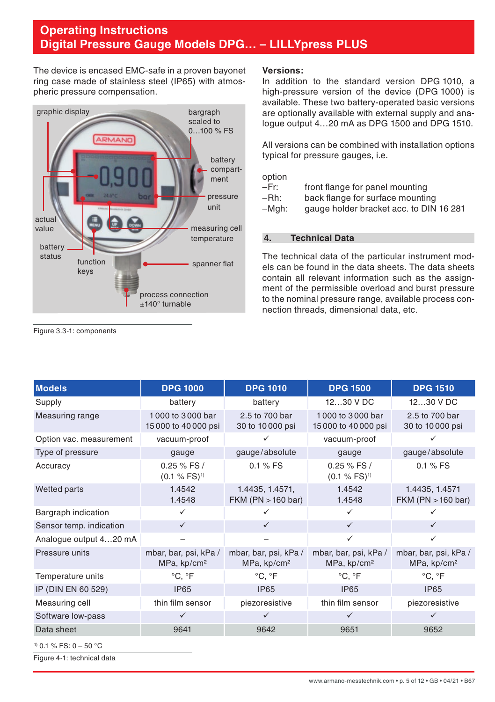<span id="page-4-0"></span>The device is encased EMC-safe in a proven bayonet ring case made of stainless steel (IP65) with atmospheric pressure compensation.



#### **Versions:**

In addition to the standard version DPG 1010, a high-pressure version of the device (DPG 1000) is available. These two battery-operated basic versions are optionally available with external supply and analogue output 4…20 mA as DPG 1500 and DPG 1510.

All versions can be combined with installation options typical for pressure gauges, i.e.

option<br>-Fr:

- –Fr: front flange for panel mounting
- –Rh: back flange for surface mounting
- gauge holder bracket acc. to DIN 16 281

### **4. Technical Data**

The technical data of the particular instrument models can be found in the data sheets. The data sheets contain all relevant information such as the assignment of the permissible overload and burst pressure to the nominal pressure range, available process connection threads, dimensional data, etc.

**Models DPG 1000 DPG 1010 DPG 1500 DPG 1510** Supply battery battery 12…30 V DC 12…30 V DC Measuring range 1000 to 3000 bar 15 000 to 40 000 psi 2.5 to 700 bar 30 to 10 000 psi 1 000 to 3 000 bar 15 000 to 40 000 psi 2.5 to 700 bar 30 to 10 000 psi Option vac. measurement vacuum-proof vacuum-proof Type of pressure example are gauge gauge/absolute gauge gauge gauge/absolute Accuracy 0.25 % FS /  $(0.1 \% FS)^{1}$ 0.1 % FS 0.25 % FS /  $(0.1 \% FS)^{1}$ 0.1 % FS Wetted parts 1.4542 1.4548 1.4435, 1.4571, FKM (PN >160 bar) 1.4542 1.4548 1.4435, 1.4571 FKM (PN >160 bar) Bargraph indication  $\checkmark$   $\checkmark$   $\checkmark$   $\checkmark$   $\checkmark$   $\checkmark$ Sensor temp. indication  $\checkmark$   $\checkmark$ Analogue output 4…20 mA – – Pressure units mbar, bar, psi, kPa / MPa, kp/cm² mbar, bar, psi, kPa / MPa, kp/cm² mbar, bar, psi, kPa / MPa, kp/cm² mbar, bar, psi, kPa / MPa, kp/cm² Temperature units  ${}^{\circ}C. {}^{\circ}F$   ${}^{\circ}C. {}^{\circ}F$   ${}^{\circ}C. {}^{\circ}F$   ${}^{\circ}C. {}^{\circ}F$   ${}^{\circ}C. {}^{\circ}F$ IP (DIN EN 60 529) IP65 IP65 IP65 IP65 IP65 IP65 Measuring cell thin film sensor piezoresistive thin film sensor piezoresistive Software low-pass and the set of the set of the set of the set of the set of the set of the set of the set of the set of the set of the set of the set of the set of the set of the set of the set of the set of the set of th Data sheet 9641 9642 9651 9652

```
1) 0.1 % FS: 0 – 50 °C
```
Figure 4-1: technical data

Figure 3.3-1: components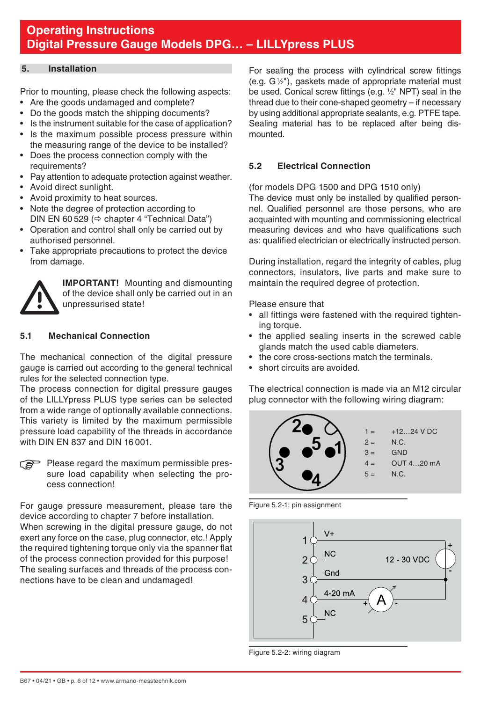### <span id="page-5-0"></span>**5. Installation**

Prior to mounting, please check the following aspects:

- Are the goods undamaged and complete?
- Do the goods match the shipping documents?
- Is the instrument suitable for the case of application?
- Is the maximum possible process pressure within the measuring range of the device to be installed?
- Does the process connection comply with the requirements?
- Pay attention to adequate protection against weather.
- Avoid direct sunlight.
- Avoid proximity to heat sources.
- Note the degree of protection according to DIN EN 60 529 ( $\Leftrightarrow$  chapter 4 "Technical Data")
- Operation and control shall only be carried out by authorised personnel.
- Take appropriate precautions to protect the device from damage.



 **IMPORTANT!** Mounting and dismounting of the device shall only be carried out in an unpressurised state!

### **5.1 Mechanical Connection**

The mechanical connection of the digital pressure gauge is carried out according to the general technical rules for the selected connection type.

The process connection for digital pressure gauges of the LILLYpress PLUS type series can be selected from a wide range of optionally available connections. This variety is limited by the maximum permissible pressure load capability of the threads in accordance with DIN EN 837 and DIN 16 001.

 $\epsilon$  Please regard the maximum permissible pressure load capability when selecting the process connection!

For gauge pressure measurement, please tare the device according to chapter 7 before installation. When screwing in the digital pressure gauge, do not exert any force on the case, plug connector, etc.! Apply the required tightening torque only via the spanner flat of the process connection provided for this purpose! The sealing surfaces and threads of the process connections have to be clean and undamaged!

For sealing the process with cylindrical screw fittings (e.g. G1 ⁄2"), gaskets made of appropriate material must be used. Conical screw fittings (e.g. 1 ⁄2" NPT) seal in the thread due to their cone-shaped geometry – if necessary by using additional appropriate sealants, e.g. PTFE tape. Sealing material has to be replaced after being dismounted.

## **5.2 Electrical Connection**

(for models DPG 1500 and DPG 1510 only)

The device must only be installed by qualified personnel. Qualified personnel are those persons, who are acquainted with mounting and commissioning electrical measuring devices and who have qualifications such as: qualified electrician or electrically instructed person.

During installation, regard the integrity of cables, plug connectors, insulators, live parts and make sure to maintain the required degree of protection.

Please ensure that

- all fittings were fastened with the required tightening torque.
- the applied sealing inserts in the screwed cable glands match the used cable diameters.
- the core cross-sections match the terminals.
- short circuits are avoided.

The electrical connection is made via an M12 circular plug connector with the following wiring diagram:



Figure 5.2-1: pin assignment



Figure 5.2-2: wiring diagram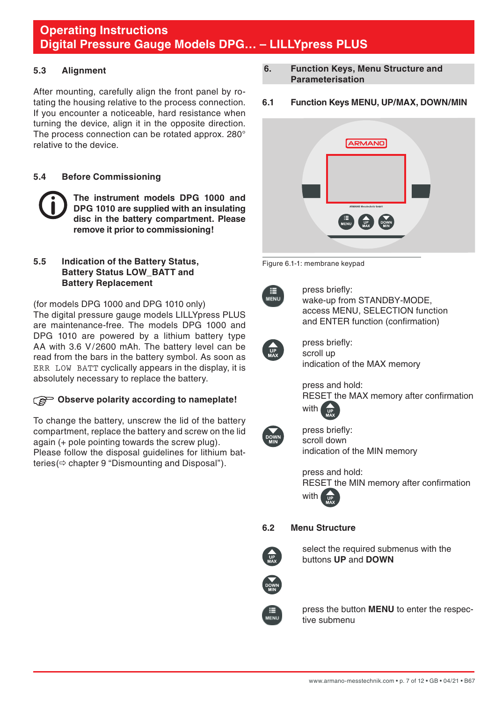## <span id="page-6-0"></span>**5.3 Alignment**

After mounting, carefully align the front panel by rotating the housing relative to the process connection. If you encounter a noticeable, hard resistance when turning the device, align it in the opposite direction. The process connection can be rotated approx. 280° relative to the device.

## **5.4 Before Commissioning**

**The instrument models DPG 1000 and DPG 1010 are supplied with an insulating disc in the battery compartment. Please remove it prior to commissioning!**

### **5.5 Indication of the Battery Status, Battery Status LOW\_BATT and Battery Replacement**

(for models DPG 1000 and DPG 1010 only) The digital pressure gauge models LILLYpress PLUS are maintenance-free. The models DPG 1000 and DPG 1010 are powered by a lithium battery type AA with 3.6 V/2600 mAh. The battery level can be read from the bars in the battery symbol. As soon as ERR LOW BATT cyclically appears in the display, it is absolutely necessary to replace the battery.

# **Observe polarity according to nameplate!**

To change the battery, unscrew the lid of the battery compartment, replace the battery and screw on the lid again (+ pole pointing towards the screw plug). Please follow the disposal guidelines for lithium batteries( $\Leftrightarrow$  chapter 9 "Dismounting and Disposal").

- **6. Function Keys, Menu Structure and Parameterisation**
- **6.1 Function Keys MENU, UP/MAX, DOWN/MIN**



#### Figure 6.1-1: membrane keypad

MENU

 press briefly: wake-up from STANDBY-MODE, access MENU, SELECTION function and ENTER function (confirmation)



 press briefly: scroll up indication of the MAX memory

 press and hold: RESET the MAX memory after confirmation with



 press briefly: scroll down indication of the MIN memory

 press and hold: RESET the MIN memory after confirmation with

### **6.2 Menu Structure**



 select the required submenus with the buttons **UP** and **DOWN**



 press the button **MENU** to enter the respective submenu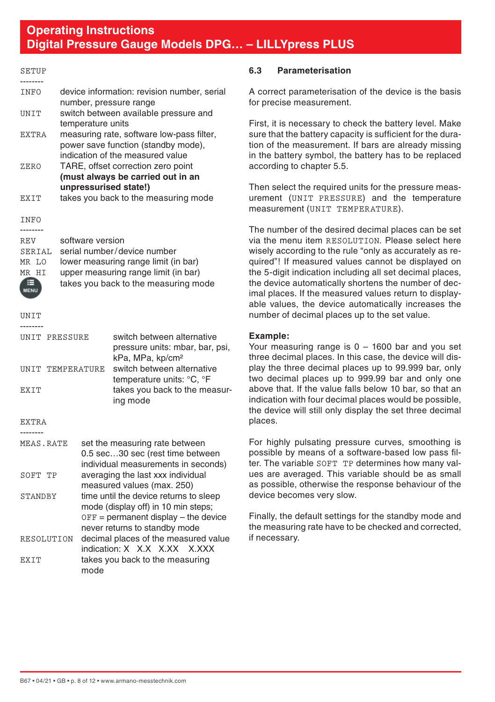| <b>INFO</b>  | device information: revision number, serial |
|--------------|---------------------------------------------|
|              | number, pressure range                      |
| TIN T T      | switch between available pressure and       |
|              | temperature units                           |
| <b>EXTRA</b> | measuring rate, software low-pass filter,   |
|              | power save function (standby mode),         |
|              | indication of the measured value            |
| ZERO         | TARE, offset correction zero point          |
|              | (must always be carried out in an           |
|              | unpressurised state!)                       |
| FXTT         | takes you back to the measuring mode        |
|              |                                             |

INFO

<span id="page-7-0"></span>**SETUP** 

| <b>REV</b> | software version                     |
|------------|--------------------------------------|
| SERIAL     | serial number/device number          |
| MR LO      | lower measuring range limit (in bar) |
| HT.<br>MR  | upper measuring range limit (in bar) |
|            | takes you back to the measuring mode |

**IINTT** 

--------

| <b>IINTT PRESSIIRE</b><br>UNIT TEMPERATURE<br><b>EXTT</b> |      | switch between alternative<br>pressure units: mbar, bar, psi,<br>kPa, MPa, kp/cm <sup>2</sup><br>switch between alternative<br>temperature units: °C, °F<br>takes you back to the measur-<br>ing mode |
|-----------------------------------------------------------|------|-------------------------------------------------------------------------------------------------------------------------------------------------------------------------------------------------------|
| <b>EXTRA</b>                                              |      |                                                                                                                                                                                                       |
|                                                           |      |                                                                                                                                                                                                       |
| MEAS.RATE<br>SOFT TP                                      |      | set the measuring rate between<br>0.5 sec30 sec (rest time between<br>individual measurements in seconds)<br>averaging the last xxx individual                                                        |
|                                                           |      | measured values (max. 250)                                                                                                                                                                            |
| STANDRY                                                   |      | time until the device returns to sleep<br>mode (display off) in 10 min steps;<br>$OFF =$ permanent display $-$ the device<br>never returns to standby mode                                            |
| RESOLUTION                                                |      | decimal places of the measured value<br>indication: X X.X X.XX X.XXX                                                                                                                                  |
| <b>EXTT</b>                                               | mode | takes you back to the measuring                                                                                                                                                                       |

## **6.3 Parameterisation**

A correct parameterisation of the device is the basis for precise measurement.

First, it is necessary to check the battery level. Make sure that the battery capacity is sufficient for the duration of the measurement. If bars are already missing in the battery symbol, the battery has to be replaced according to chapter 5.5.

Then select the required units for the pressure measurement (UNIT PRESSURE) and the temperature measurement (UNIT TEMPERATURE).

The number of the desired decimal places can be set via the menu item RESOLUTION. Please select here wisely according to the rule "only as accurately as required"! If measured values cannot be displayed on the 5-digit indication including all set decimal places, the device automatically shortens the number of decimal places. If the measured values return to displayable values, the device automatically increases the number of decimal places up to the set value.

### **Example:**

Your measuring range is 0 – 1600 bar and you set three decimal places. In this case, the device will display the three decimal places up to 99.999 bar, only two decimal places up to 999.99 bar and only one above that. If the value falls below 10 bar, so that an indication with four decimal places would be possible, the device will still only display the set three decimal places.

For highly pulsating pressure curves, smoothing is possible by means of a software-based low pass filter. The variable SOFT TP determines how many values are averaged. This variable should be as small as possible, otherwise the response behaviour of the device becomes very slow.

Finally, the default settings for the standby mode and the measuring rate have to be checked and corrected, if necessary.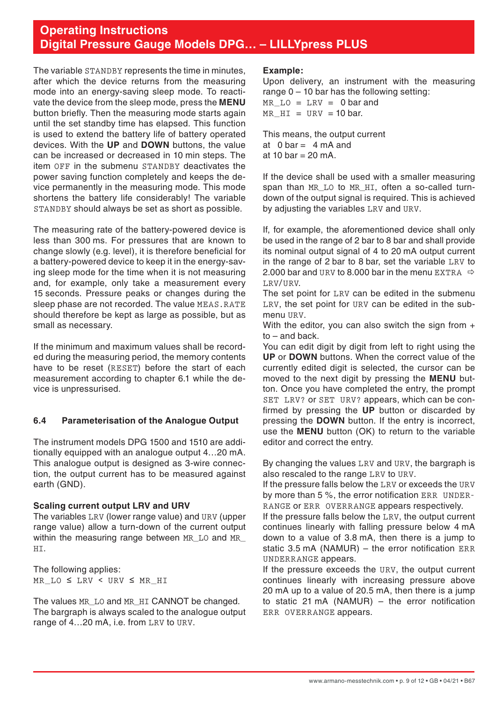<span id="page-8-0"></span>The variable STANDBY represents the time in minutes, after which the device returns from the measuring mode into an energy-saving sleep mode. To reactivate the device from the sleep mode, press the **MENU** button briefly. Then the measuring mode starts again until the set standby time has elapsed. This function is used to extend the battery life of battery operated devices. With the **UP** and **DOWN** buttons, the value can be increased or decreased in 10 min steps. The item OFF in the submenu STANDBY deactivates the power saving function completely and keeps the device permanently in the measuring mode. This mode shortens the battery life considerably! The variable STANDBY should always be set as short as possible.

The measuring rate of the battery-powered device is less than 300 ms. For pressures that are known to change slowly (e.g. level), it is therefore beneficial for a battery-powered device to keep it in the energy-saving sleep mode for the time when it is not measuring and, for example, only take a measurement every 15 seconds. Pressure peaks or changes during the sleep phase are not recorded. The value MEAS, RATE should therefore be kept as large as possible, but as small as necessary.

If the minimum and maximum values shall be recorded during the measuring period, the memory contents have to be reset (RESET) before the start of each measurement according to chapter 6.1 while the device is unpressurised.

### **6.4 Parameterisation of the Analogue Output**

The instrument models DPG 1500 and 1510 are additionally equipped with an analogue output 4…20 mA. This analogue output is designed as 3-wire connection, the output current has to be measured against earth (GND).

### **Scaling current output LRV and URV**

The variables LRV (lower range value) and URV (upper range value) allow a turn-down of the current output within the measuring range between MR\_LO and MR\_ HI.

The following applies: MR\_LO ≤ LRV < URV ≤ MR\_HI

The values MR\_LO and MR\_HI CANNOT be changed. The bargraph is always scaled to the analogue output range of 4…20 mA, i.e. from LRV to URV.

### **Example:**

Upon delivery, an instrument with the measuring range  $0 - 10$  bar has the following setting: MR  $LO = LRV = 0$  bar and MR  $HT = URV = 10$  bar.

This means, the output current at  $0 \text{ bar} = 4 \text{ mA}$  and at  $10 \text{ bar} - 20 \text{ mA}$ 

If the device shall be used with a smaller measuring span than MR\_LO to MR\_HT, often a so-called turndown of the output signal is required. This is achieved by adjusting the variables LRV and URV.

If, for example, the aforementioned device shall only be used in the range of 2 bar to 8 bar and shall provide its nominal output signal of 4 to 20 mA output current in the range of 2 bar to 8 bar, set the variable LRV to 2.000 bar and URV to 8.000 bar in the menu EXTRA  $\Rightarrow$ LRV/URV.

The set point for LRV can be edited in the submenu LRV, the set point for URV can be edited in the submenu URV.

With the editor, you can also switch the sign from  $+$ to – and back.

You can edit digit by digit from left to right using the **UP** or **DOWN** buttons. When the correct value of the currently edited digit is selected, the cursor can be moved to the next digit by pressing the **MENU** button. Once you have completed the entry, the prompt SET LRV? or SET URV? appears, which can be confirmed by pressing the **UP** button or discarded by pressing the **DOWN** button. If the entry is incorrect, use the **MENU** button (OK) to return to the variable editor and correct the entry.

By changing the values LRV and URV, the bargraph is also rescaled to the range LRV to URV.

If the pressure falls below the LRV or exceeds the URV by more than 5 %, the error notification ERR UNDER-RANGE or ERR OVERRANGE appears respectively.

If the pressure falls below the LRV, the output current continues linearly with falling pressure below 4 mA down to a value of 3.8 mA, then there is a jump to static 3.5 mA (NAMUR) – the error notification ERR UNDERRANGE appears.

If the pressure exceeds the URV, the output current continues linearly with increasing pressure above 20 mA up to a value of 20.5 mA, then there is a jump to static 21 mA (NAMUR) – the error notification ERR OVERRANGE appears.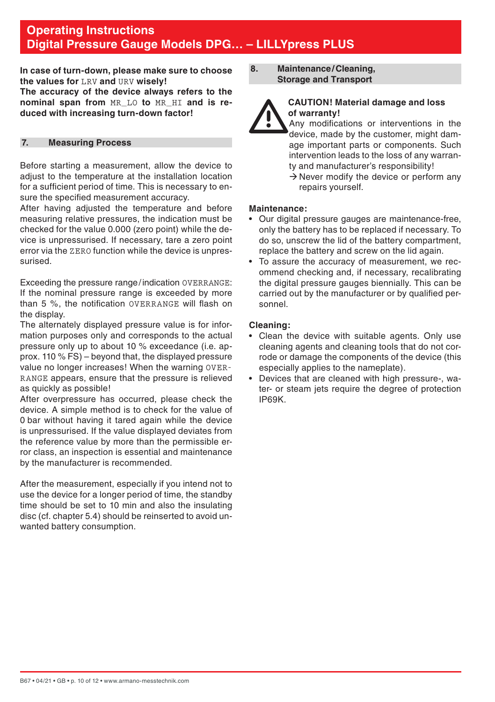<span id="page-9-0"></span>**In case of turn-down, please make sure to choose the values for** LRV **and** URV **wisely! The accuracy of the device always refers to the nominal span from** MR\_LO **to** MR\_HI **and is reduced with increasing turn-down factor!**

### **7. Measuring Process**

Before starting a measurement, allow the device to adjust to the temperature at the installation location for a sufficient period of time. This is necessary to ensure the specified measurement accuracy.

After having adjusted the temperature and before measuring relative pressures, the indication must be checked for the value 0.000 (zero point) while the device is unpressurised. If necessary, tare a zero point error via the ZERO function while the device is unpressurised.

Exceeding the pressure range/indication OVERRANGE: If the nominal pressure range is exceeded by more than 5 %, the notification OVERRANGE will flash on the display.

The alternately displayed pressure value is for information purposes only and corresponds to the actual pressure only up to about 10 % exceedance (i.e. approx. 110 % FS) – beyond that, the displayed pressure value no longer increases! When the warning OVER-RANGE appears, ensure that the pressure is relieved as quickly as possible!

After overpressure has occurred, please check the device. A simple method is to check for the value of 0 bar without having it tared again while the device is unpressurised. If the value displayed deviates from the reference value by more than the permissible error class, an inspection is essential and maintenance by the manufacturer is recommended.

After the measurement, especially if you intend not to use the device for a longer period of time, the standby time should be set to 10 min and also the insulating disc (cf. chapter 5.4) should be reinserted to avoid unwanted battery consumption.

**8. Maintenance/Cleaning, Storage and Transport**



## **CAUTION! Material damage and loss of warranty!**

 Any modifications or interventions in the device, made by the customer, might damage important parts or components. Such intervention leads to the loss of any warranty and manufacturer's responsibility!

 $\rightarrow$  Never modify the device or perform any repairs yourself.

### **Maintenance:**

- Our digital pressure gauges are maintenance-free, only the battery has to be replaced if necessary. To do so, unscrew the lid of the battery compartment, replace the battery and screw on the lid again.
- To assure the accuracy of measurement, we recommend checking and, if necessary, recalibrating the digital pressure gauges biennially. This can be carried out by the manufacturer or by qualified personnel.

### **Cleaning:**

- Clean the device with suitable agents. Only use cleaning agents and cleaning tools that do not corrode or damage the components of the device (this especially applies to the nameplate).
- Devices that are cleaned with high pressure-, water- or steam jets require the degree of protection IP69K.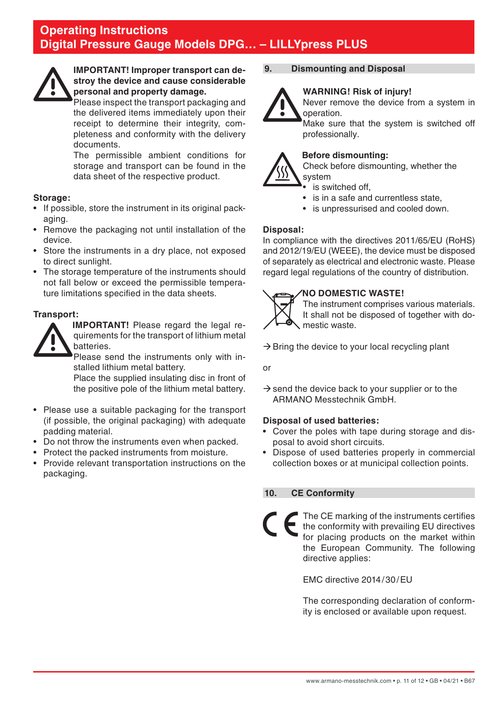<span id="page-10-0"></span>

### **IMPORTANT! Improper transport can destroy the device and cause considerable personal and property damage.**

Please inspect the transport packaging and the delivered items immediately upon their receipt to determine their integrity, completeness and conformity with the delivery documents.

The permissible ambient conditions for storage and transport can be found in the data sheet of the respective product.

### **Storage:**

- If possible, store the instrument in its original packaging.
- Remove the packaging not until installation of the device.
- Store the instruments in a dry place, not exposed to direct sunlight.
- The storage temperature of the instruments should not fall below or exceed the permissible temperature limitations specified in the data sheets.

### **Transport:**



**IMPORTANT!** Please regard the legal requirements for the transport of lithium metal batteries.

 Please send the instruments only with installed lithium metal battery.

 Place the supplied insulating disc in front of the positive pole of the lithium metal battery.

- Please use a suitable packaging for the transport (if possible, the original packaging) with adequate padding material.
- Do not throw the instruments even when packed.
- Protect the packed instruments from moisture.
- Provide relevant transportation instructions on the packaging.

## **9. Dismounting and Disposal**

### **WARNING! Risk of injury!**



Never remove the device from a system in operation.

 Make sure that the system is switched off professionally.

### **Before dismounting:**

Check before dismounting, whether the system

- is switched off.
- is in a safe and currentless state.
- is unpressurised and cooled down.

### **Disposal:**

In compliance with the directives 2011/65/EU (RoHS) and 2012/19/EU (WEEE), the device must be disposed of separately as electrical and electronic waste. Please regard legal regulations of the country of distribution.

## **NO DOMESTIC WASTE!**



 The instrument comprises various materials. It shall not be disposed of together with domestic waste.

 $\rightarrow$  Bring the device to your local recycling plant

or

 $\rightarrow$  send the device back to your supplier or to the ARMANO Messtechnik GmbH.

### **Disposal of used batteries:**

- Cover the poles with tape during storage and disposal to avoid short circuits.
- Dispose of used batteries properly in commercial collection boxes or at municipal collection points.

### **10. CE Conformity**

The CE marking of the instruments certifies the conformity with prevailing EU directives for placing products on the market within the European Community. The following directive applies:

EMC directive 2014/30/EU

 The corresponding declaration of conformity is enclosed or available upon request.